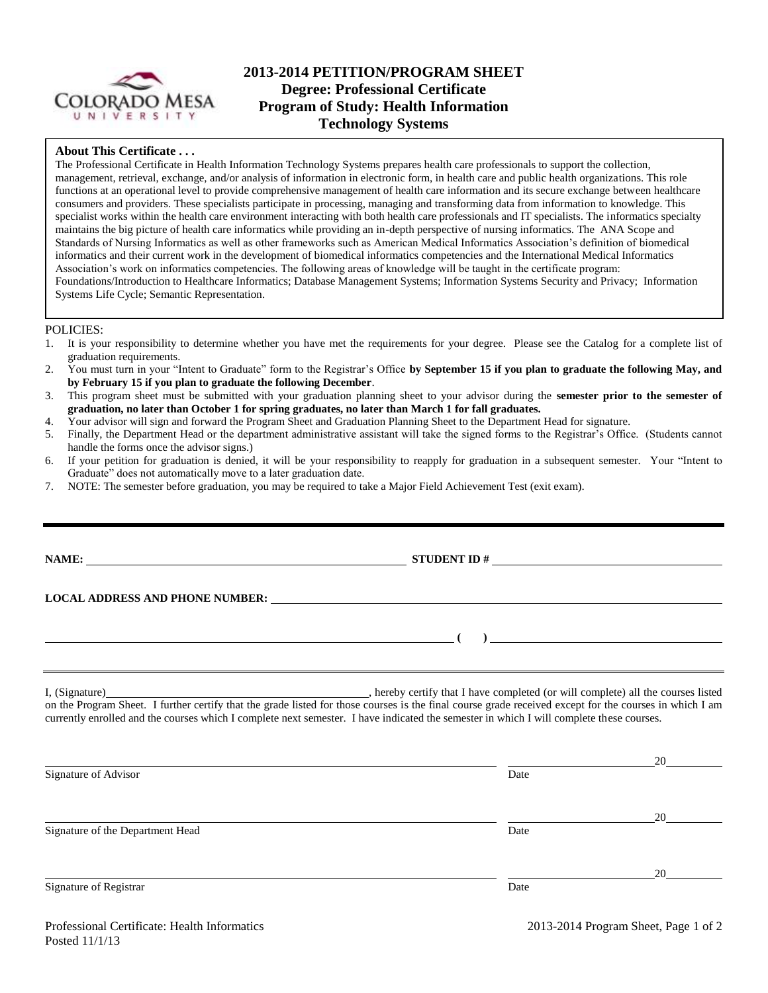

# **2013-2014 PETITION/PROGRAM SHEET Degree: Professional Certificate Program of Study: Health Information Technology Systems**

### **About This Certificate . . .**

The Professional Certificate in Health Information Technology Systems prepares health care professionals to support the collection, management, retrieval, exchange, and/or analysis of information in electronic form, in health care and public health organizations. This role functions at an operational level to provide comprehensive management of health care information and its secure exchange between healthcare consumers and providers. These specialists participate in processing, managing and transforming data from information to knowledge. This specialist works within the health care environment interacting with both health care professionals and IT specialists. The informatics specialty maintains the big picture of health care informatics while providing an in-depth perspective of nursing informatics. The ANA Scope and Standards of Nursing Informatics as well as other frameworks such as American Medical Informatics Association's definition of biomedical informatics and their current work in the development of biomedical informatics competencies and the International Medical Informatics Association's work on informatics competencies. The following areas of knowledge will be taught in the certificate program: Foundations/Introduction to Healthcare Informatics; Database Management Systems; Information Systems Security and Privacy; Information Systems Life Cycle; Semantic Representation.

#### POLICIES:

- 1. It is your responsibility to determine whether you have met the requirements for your degree. Please see the Catalog for a complete list of graduation requirements.
- 2. You must turn in your "Intent to Graduate" form to the Registrar's Office **by September 15 if you plan to graduate the following May, and by February 15 if you plan to graduate the following December**.
- 3. This program sheet must be submitted with your graduation planning sheet to your advisor during the **semester prior to the semester of graduation, no later than October 1 for spring graduates, no later than March 1 for fall graduates.**
- 4. Your advisor will sign and forward the Program Sheet and Graduation Planning Sheet to the Department Head for signature.
- 5. Finally, the Department Head or the department administrative assistant will take the signed forms to the Registrar's Office. (Students cannot handle the forms once the advisor signs.)
- 6. If your petition for graduation is denied, it will be your responsibility to reapply for graduation in a subsequent semester. Your "Intent to Graduate" does not automatically move to a later graduation date.
- 7. NOTE: The semester before graduation, you may be required to take a Major Field Achievement Test (exit exam).

| LOCAL ADDRESS AND PHONE NUMBER: University of the contract of the contract of the contract of the contract of the contract of the contract of the contract of the contract of the contract of the contract of the contract of |                                                                     |
|-------------------------------------------------------------------------------------------------------------------------------------------------------------------------------------------------------------------------------|---------------------------------------------------------------------|
|                                                                                                                                                                                                                               |                                                                     |
| <u> 1980 - Johann Barbara, martin da basar a shekara 1980 - An tsa a tsa a tsa a tsa a tsa a tsa a tsa a tsa a ts</u>                                                                                                         | $\overline{a}$ ) and the contract of the contract of $\overline{a}$ |
|                                                                                                                                                                                                                               |                                                                     |

I, (Signature) hereby certify that I have completed (or will complete) all the courses listed on the Program Sheet. I further certify that the grade listed for those courses is the final course grade received except for the courses in which I am currently enrolled and the courses which I complete next semester. I have indicated the semester in which I will complete these courses.

|                                  |      | 20 |
|----------------------------------|------|----|
| Signature of Advisor             | Date |    |
|                                  |      |    |
|                                  |      | 20 |
| Signature of the Department Head | Date |    |
|                                  |      |    |
|                                  |      | 20 |
| Signature of Registrar           | Date |    |
|                                  |      |    |
|                                  |      |    |